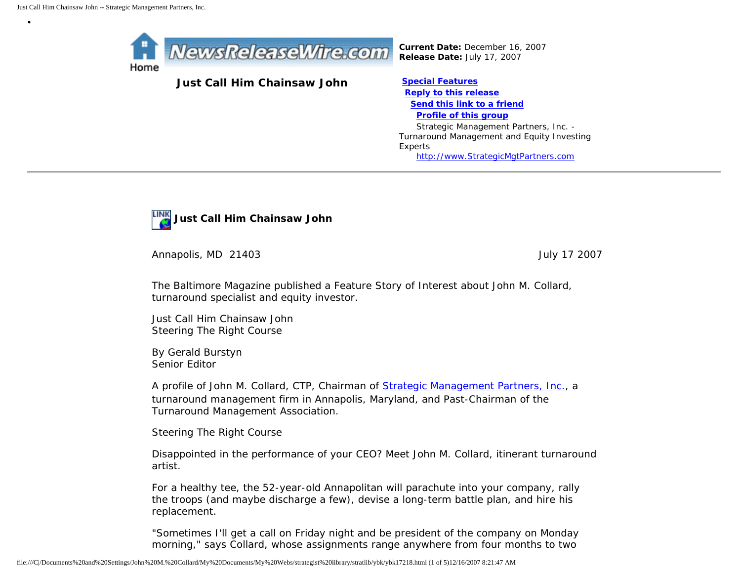•



**Just Call Him Chainsaw John [Special Features](javascript:openlittleme()** 

*Current Date:* December 16, 2007 *Release Date:* July 17, 2007

 **[Reply to this release](file:///C|/Documents%20and%20Settings/John%20M.%20Collard/My%20Documents/My%20Webs/strategist%20library/stratlib/ybk/default.cfm?Action=ReplyRelease&Id=17218) [Send this link to a friend](file:///C|/Documents%20and%20Settings/John%20M.%20Collard/My%20Documents/My%20Webs/strategist%20library/stratlib/ybk/default.cfm?Action=SendLink&SendId=17218) [Profile of this group](file:///C|/Documents%20and%20Settings/John%20M.%20Collard/My%20Documents/My%20Webs/strategist%20library/stratlib/ybk/default.cfm?Action=Profile&ProfileId=623)** Strategic Management Partners, Inc. - Turnaround Management and Equity Investing Experts [http://www.StrategicMgtPartners.com](http://www.strategicmgtpartners.com/)



Annapolis, MD 21403 **July 17 2007** 

The Baltimore Magazine published a Feature Story of Interest about John M. Collard, turnaround specialist and equity investor.

Just Call Him Chainsaw John Steering The Right Course

By Gerald Burstyn Senior Editor

A profile of John M. Collard, CTP, Chairman of [Strategic Management Partners, Inc.](http://www.strategicmgtpartners.com/), a turnaround management firm in Annapolis, Maryland, and Past-Chairman of the Turnaround Management Association.

Steering The Right Course

Disappointed in the performance of your CEO? Meet John M. Collard, itinerant turnaround artist.

For a healthy tee, the 52-year-old Annapolitan will parachute into your company, rally the troops (and maybe discharge a few), devise a long-term battle plan, and hire his replacement.

"Sometimes I'll get a call on Friday night and be president of the company on Monday morning," says Collard, whose assignments range anywhere from four months to two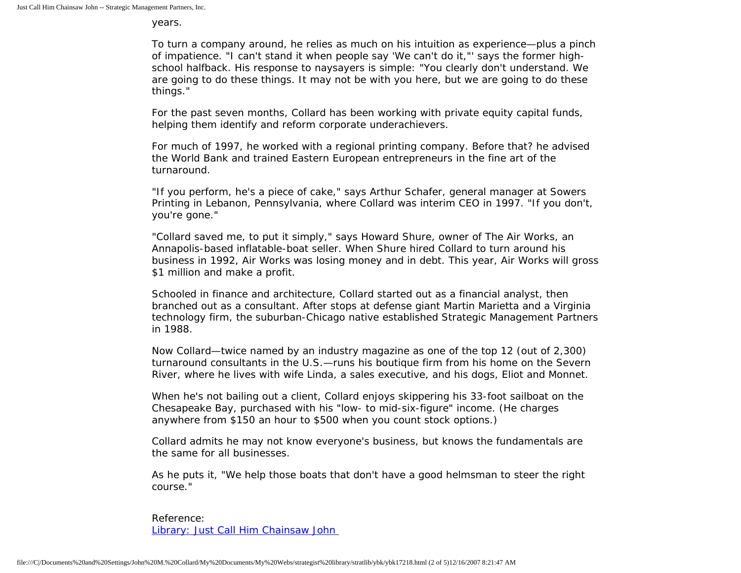years.

To turn a company around, he relies as much on his intuition as experience—plus a pinch of impatience. "I can't stand it when people say 'We can't do it,"' says the former highschool halfback. His response to naysayers is simple: "You clearly don't understand. We are going to do these things. It may not be with you here, but we are going to do these things."

For the past seven months, Collard has been working with private equity capital funds, helping them identify and reform corporate underachievers.

For much of 1997, he worked with a regional printing company. Before that? he advised the World Bank and trained Eastern European entrepreneurs in the fine art of the turnaround.

"If you perform, he's a piece of cake," says Arthur Schafer, general manager at Sowers Printing in Lebanon, Pennsylvania, where Collard was interim CEO in 1997. "If you don't, you're gone."

"Collard saved me, to put it simply," says Howard Shure, owner of The Air Works, an Annapolis-based inflatable-boat seller. When Shure hired Collard to turn around his business in 1992, Air Works was losing money and in debt. This year, Air Works will gross \$1 million and make a profit.

Schooled in finance and architecture, Collard started out as a financial analyst, then branched out as a consultant. After stops at defense giant Martin Marietta and a Virginia technology firm, the suburban-Chicago native established Strategic Management Partners in 1988.

Now Collard—twice named by an industry magazine as one of the top 12 (out of 2,300) turnaround consultants in the U.S.—runs his boutique firm from his home on the Severn River, where he lives with wife Linda, a sales executive, and his dogs, Eliot and Monnet.

When he's not bailing out a client, Collard enjoys skippering his 33-foot sailboat on the Chesapeake Bay, purchased with his "low- to mid-six-figure" income. (He charges anywhere from \$150 an hour to \$500 when you count stock options.)

Collard admits he may not know everyone's business, but knows the fundamentals are the same for all businesses.

As he puts it, "We help those boats that don't have a good helmsman to steer the right course."

Reference: [Library: Just Call Him Chainsaw John](http://members.aol.com/jmcollard/bm.html)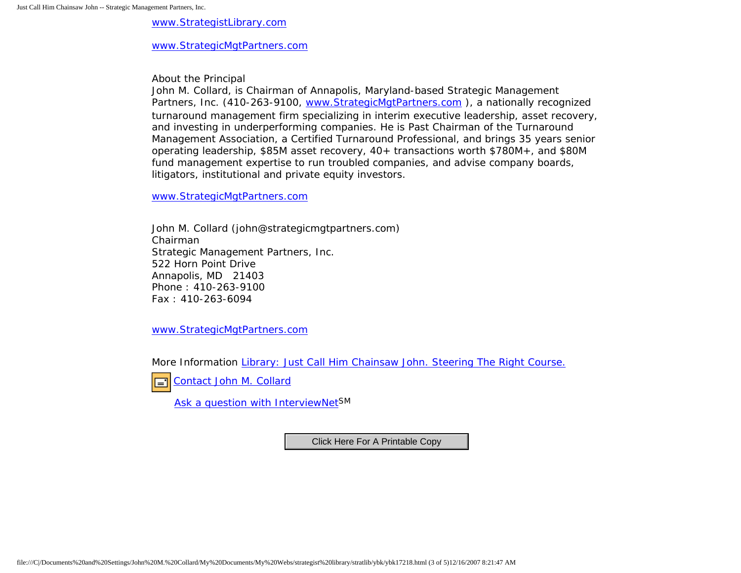[www.StrategistLibrary.com](http://www.strategistlibrary.com/)

[www.StrategicMgtPartners.com](http://www.strategicmgtpartners.com/)

About the Principal

John M. Collard, is Chairman of Annapolis, Maryland-based Strategic Management Partners, Inc. (410-263-9100, www.StrategicMgtPartners.com), a nationally recognized turnaround management firm specializing in interim executive leadership, asset recovery, and investing in underperforming companies. He is Past Chairman of the Turnaround Management Association, a Certified Turnaround Professional, and brings 35 years senior operating leadership, \$85M asset recovery, 40+ transactions worth \$780M+, and \$80M fund management expertise to run troubled companies, and advise company boards, litigators, institutional and private equity investors.

[www.StrategicMgtPartners.com](http://www.strategicmgtpartners.com/)

John M. Collard (john@strategicmgtpartners.com) Chairman Strategic Management Partners, Inc. 522 Horn Point Drive Annapolis, MD 21403 Phone : 410-263-9100 Fax : 410-263-6094

[www.StrategicMgtPartners.com](http://www.strategicmgtpartners.com/)

More Information [Library: Just Call Him Chainsaw John. Steering The Right Course.](http://members.aol.com/jmcollard/bm.html)

[Contact John M. Collard](http://www.expertclick.com/expertClick/contact/default.cfm?Action=ContactExpert&GroupID=1016) 口

[Ask a question with InterviewNetS](http://www.expertclick.com/expertClick/contact/default.cfm?GroupID=1016)M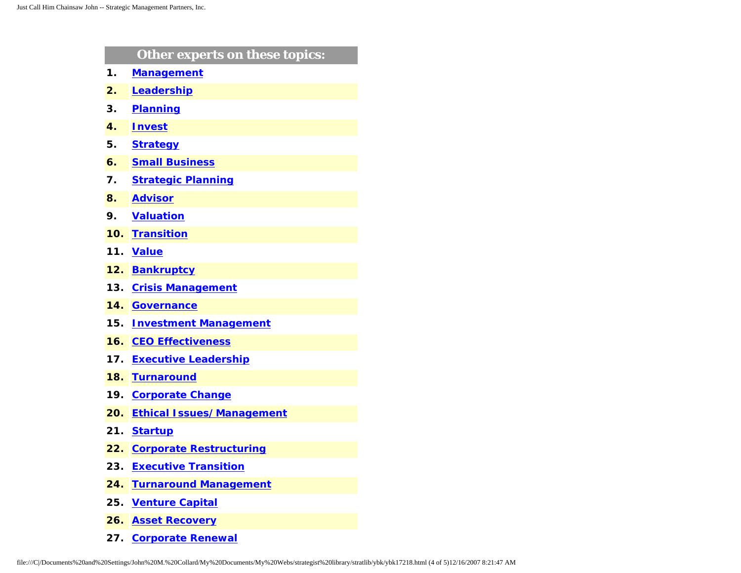|               | Other experts on these topics:   |
|---------------|----------------------------------|
| $\mathbf 1$ . | <b>Management</b>                |
| 2.            | Leadership                       |
| 3.            | <b>Planning</b>                  |
| 4.            | <b>Invest</b>                    |
| 5.            | <b>Strategy</b>                  |
| 6.            | <b>Small Business</b>            |
| 7.            | <b>Strategic Planning</b>        |
| 8.            | <b>Advisor</b>                   |
| 9.            | <b>Valuation</b>                 |
| 10.           | <b>Transition</b>                |
| 11.           | <b>Value</b>                     |
| 12.           | <b>Bankruptcy</b>                |
| 13.           | <b>Crisis Management</b>         |
| 14.           | <b>Governance</b>                |
| 15.           | <b>Investment Management</b>     |
| 16.           | <b>CEO Effectiveness</b>         |
| 17.           | <b>Executive Leadership</b>      |
| 18.           | <b>Turnaround</b>                |
| 19.           | <b>Corporate Change</b>          |
| 20.           | <b>Ethical Issues/Management</b> |
| 21.           | <b>Startup</b>                   |
| 22.           | <b>Corporate Restructuring</b>   |
| 23.           | <b>Executive Transition</b>      |
| 24.           | <b>Turnaround Management</b>     |
| 25.           | <b>Venture Capital</b>           |
| 26.           | <b>Asset Recovery</b>            |

**27. [Corporate Renewal](http://www.expertclick.com/search/default.cfm?SearchCriteria=Corporate Renewal)**